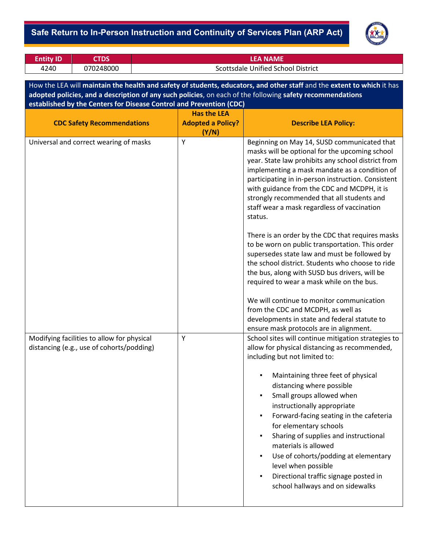## - **Safe Return to In-Person Instruction and Continuity of Services Plan (ARP Act)**



| <b>Entity ID</b> | <b>CTDS</b> | EA NAME                            |
|------------------|-------------|------------------------------------|
| 4240             | 070248000   | Scottsdale Unified School District |

How the LEA will **maintain the health and safety of students, educators, and other staff** and the **extent to which** it has **adopted policies, and a description of any such policies**, on each of the following **safety recommendations established by the Centers for Disease Control and Prevention (CDC)**

|                                                                                         | <b>Has the LEA</b>       |                                                                                                                                                                                                                                                                                                                                                                                                                                                                                                                                                                                                   |
|-----------------------------------------------------------------------------------------|--------------------------|---------------------------------------------------------------------------------------------------------------------------------------------------------------------------------------------------------------------------------------------------------------------------------------------------------------------------------------------------------------------------------------------------------------------------------------------------------------------------------------------------------------------------------------------------------------------------------------------------|
| <b>CDC Safety Recommendations</b>                                                       | <b>Adopted a Policy?</b> | <b>Describe LEA Policy:</b>                                                                                                                                                                                                                                                                                                                                                                                                                                                                                                                                                                       |
| Universal and correct wearing of masks                                                  | (Y/N)<br>Y               | Beginning on May 14, SUSD communicated that<br>masks will be optional for the upcoming school<br>year. State law prohibits any school district from<br>implementing a mask mandate as a condition of<br>participating in in-person instruction. Consistent<br>with guidance from the CDC and MCDPH, it is<br>strongly recommended that all students and<br>staff wear a mask regardless of vaccination<br>status.                                                                                                                                                                                 |
|                                                                                         |                          | There is an order by the CDC that requires masks<br>to be worn on public transportation. This order<br>supersedes state law and must be followed by<br>the school district. Students who choose to ride<br>the bus, along with SUSD bus drivers, will be<br>required to wear a mask while on the bus.<br>We will continue to monitor communication<br>from the CDC and MCDPH, as well as<br>developments in state and federal statute to                                                                                                                                                          |
| Modifying facilities to allow for physical<br>distancing (e.g., use of cohorts/podding) | Y                        | ensure mask protocols are in alignment.<br>School sites will continue mitigation strategies to<br>allow for physical distancing as recommended,<br>including but not limited to:<br>Maintaining three feet of physical<br>distancing where possible<br>Small groups allowed when<br>instructionally appropriate<br>Forward-facing seating in the cafeteria<br>for elementary schools<br>Sharing of supplies and instructional<br>materials is allowed<br>Use of cohorts/podding at elementary<br>level when possible<br>Directional traffic signage posted in<br>school hallways and on sidewalks |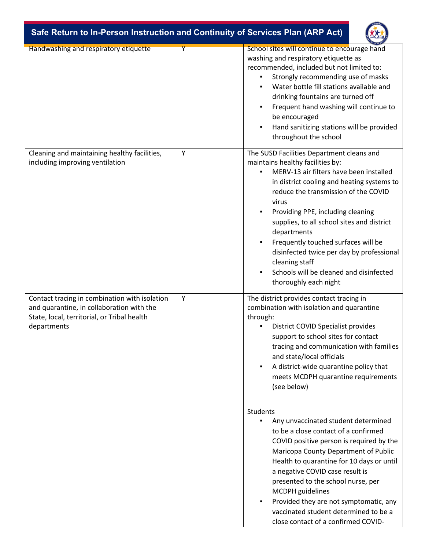

| Handwashing and respiratory etiquette                                                                                                                    | Υ | School sites will continue to encourage hand<br>washing and respiratory etiquette as<br>recommended, included but not limited to:<br>Strongly recommending use of masks<br>Water bottle fill stations available and<br>drinking fountains are turned off<br>Frequent hand washing will continue to<br>be encouraged<br>Hand sanitizing stations will be provided<br>throughout the school                                                                                                           |
|----------------------------------------------------------------------------------------------------------------------------------------------------------|---|-----------------------------------------------------------------------------------------------------------------------------------------------------------------------------------------------------------------------------------------------------------------------------------------------------------------------------------------------------------------------------------------------------------------------------------------------------------------------------------------------------|
| Cleaning and maintaining healthy facilities,<br>including improving ventilation                                                                          | Y | The SUSD Facilities Department cleans and<br>maintains healthy facilities by:<br>MERV-13 air filters have been installed<br>in district cooling and heating systems to<br>reduce the transmission of the COVID<br>virus<br>Providing PPE, including cleaning<br>supplies, to all school sites and district<br>departments<br>Frequently touched surfaces will be<br>disinfected twice per day by professional<br>cleaning staff<br>Schools will be cleaned and disinfected<br>thoroughly each night |
| Contact tracing in combination with isolation<br>and quarantine, in collaboration with the<br>State, local, territorial, or Tribal health<br>departments | Y | The district provides contact tracing in<br>combination with isolation and quarantine<br>through:<br>District COVID Specialist provides<br>support to school sites for contact<br>tracing and communication with families<br>and state/local officials<br>A district-wide quarantine policy that<br>meets MCDPH quarantine requirements<br>(see below)                                                                                                                                              |
|                                                                                                                                                          |   | Students<br>Any unvaccinated student determined<br>to be a close contact of a confirmed<br>COVID positive person is required by the<br>Maricopa County Department of Public<br>Health to quarantine for 10 days or until<br>a negative COVID case result is<br>presented to the school nurse, per<br>MCDPH guidelines<br>Provided they are not symptomatic, any<br>vaccinated student determined to be a<br>close contact of a confirmed COVID-                                                     |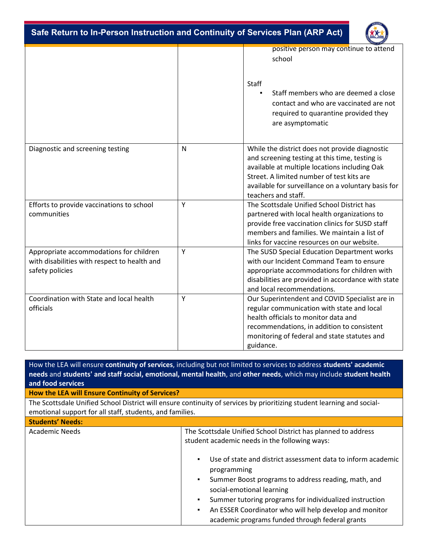**Safe Return to In-Person Instruction and Continuity of Services Plan (ARP Act)** 



|                                                                                                            |           | positive person may continue to attend<br>school                                                                                                                                                                                                                             |
|------------------------------------------------------------------------------------------------------------|-----------|------------------------------------------------------------------------------------------------------------------------------------------------------------------------------------------------------------------------------------------------------------------------------|
|                                                                                                            |           | <b>Staff</b>                                                                                                                                                                                                                                                                 |
|                                                                                                            |           | Staff members who are deemed a close<br>contact and who are vaccinated are not<br>required to quarantine provided they<br>are asymptomatic                                                                                                                                   |
| Diagnostic and screening testing                                                                           | ${\sf N}$ | While the district does not provide diagnostic<br>and screening testing at this time, testing is<br>available at multiple locations including Oak<br>Street. A limited number of test kits are<br>available for surveillance on a voluntary basis for<br>teachers and staff. |
| Efforts to provide vaccinations to school<br>communities                                                   | Y         | The Scottsdale Unified School District has<br>partnered with local health organizations to<br>provide free vaccination clinics for SUSD staff<br>members and families. We maintain a list of<br>links for vaccine resources on our website.                                  |
| Appropriate accommodations for children<br>with disabilities with respect to health and<br>safety policies | Y         | The SUSD Special Education Department works<br>with our Incident Command Team to ensure<br>appropriate accommodations for children with<br>disabilities are provided in accordance with state<br>and local recommendations.                                                  |
| Coordination with State and local health<br>officials                                                      | Y         | Our Superintendent and COVID Specialist are in<br>regular communication with state and local<br>health officials to monitor data and<br>recommendations, in addition to consistent<br>monitoring of federal and state statutes and<br>guidance.                              |

How the LEA will ensure **continuity of services**, including but not limited to services to address **students' academic needs** and **students' and staff social, emotional, mental health**, and **other needs**, which may include **student health and food services How the LEA will Ensure Continuity of Services?** The Scottsdale Unified School District will ensure continuity of services by prioritizing student learning and socialemotional support for all staff, students, and families. **Students' Needs:** Academic Needs The Scottsdale Unified School District has planned to address student academic needs in the following ways: ▪ Use of state and district assessment data to inform academic programming ▪ Summer Boost programs to address reading, math, and social-emotional learning

- Summer tutoring programs for individualized instruction
	- An ESSER Coordinator who will help develop and monitor academic programs funded through federal grants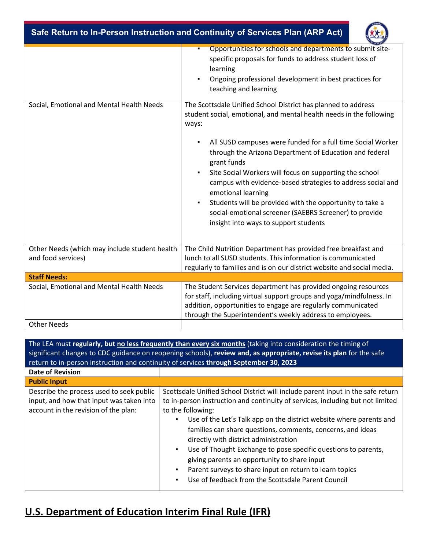| Safe Return to In-Person Instruction and Continuity of Services Plan (ARP Act) |                                                                                                                                                                                                                                                                     |  |  |
|--------------------------------------------------------------------------------|---------------------------------------------------------------------------------------------------------------------------------------------------------------------------------------------------------------------------------------------------------------------|--|--|
|                                                                                | Opportunities for schools and departments to submit site-<br>п<br>specific proposals for funds to address student loss of<br>learning<br>Ongoing professional development in best practices for<br>$\blacksquare$<br>teaching and learning                          |  |  |
| Social, Emotional and Mental Health Needs                                      | The Scottsdale Unified School District has planned to address<br>student social, emotional, and mental health needs in the following<br>ways:                                                                                                                       |  |  |
|                                                                                | All SUSD campuses were funded for a full time Social Worker<br>٠<br>through the Arizona Department of Education and federal<br>grant funds                                                                                                                          |  |  |
|                                                                                | Site Social Workers will focus on supporting the school<br>$\blacksquare$<br>campus with evidence-based strategies to address social and<br>emotional learning                                                                                                      |  |  |
|                                                                                | Students will be provided with the opportunity to take a<br>$\blacksquare$<br>social-emotional screener (SAEBRS Screener) to provide<br>insight into ways to support students                                                                                       |  |  |
|                                                                                |                                                                                                                                                                                                                                                                     |  |  |
| Other Needs (which may include student health<br>and food services)            | The Child Nutrition Department has provided free breakfast and<br>lunch to all SUSD students. This information is communicated<br>regularly to families and is on our district website and social media.                                                            |  |  |
| <b>Staff Needs:</b>                                                            |                                                                                                                                                                                                                                                                     |  |  |
| Social, Emotional and Mental Health Needs                                      | The Student Services department has provided ongoing resources<br>for staff, including virtual support groups and yoga/mindfulness. In<br>addition, opportunities to engage are regularly communicated<br>through the Superintendent's weekly address to employees. |  |  |
| <b>Other Needs</b>                                                             |                                                                                                                                                                                                                                                                     |  |  |

| The LEA must regularly, but no less frequently than every six months (taking into consideration the timing of<br>significant changes to CDC guidance on reopening schools), review and, as appropriate, revise its plan for the safe<br>return to in-person instruction and continuity of services through September 30, 2023 |                                                                                                                                                                                                                                                                                                                                                                                                                                                                                                                                                                                                          |  |  |  |
|-------------------------------------------------------------------------------------------------------------------------------------------------------------------------------------------------------------------------------------------------------------------------------------------------------------------------------|----------------------------------------------------------------------------------------------------------------------------------------------------------------------------------------------------------------------------------------------------------------------------------------------------------------------------------------------------------------------------------------------------------------------------------------------------------------------------------------------------------------------------------------------------------------------------------------------------------|--|--|--|
| <b>Date of Revision</b>                                                                                                                                                                                                                                                                                                       |                                                                                                                                                                                                                                                                                                                                                                                                                                                                                                                                                                                                          |  |  |  |
| <b>Public Input</b>                                                                                                                                                                                                                                                                                                           |                                                                                                                                                                                                                                                                                                                                                                                                                                                                                                                                                                                                          |  |  |  |
| Describe the process used to seek public<br>input, and how that input was taken into<br>account in the revision of the plan:                                                                                                                                                                                                  | Scottsdale Unified School District will include parent input in the safe return<br>to in-person instruction and continuity of services, including but not limited<br>to the following:<br>Use of the Let's Talk app on the district website where parents and<br>families can share questions, comments, concerns, and ideas<br>directly with district administration<br>Use of Thought Exchange to pose specific questions to parents,<br>giving parents an opportunity to share input<br>Parent surveys to share input on return to learn topics<br>Use of feedback from the Scottsdale Parent Council |  |  |  |

## **U.S. Department of Education Interim Final Rule (IFR)**